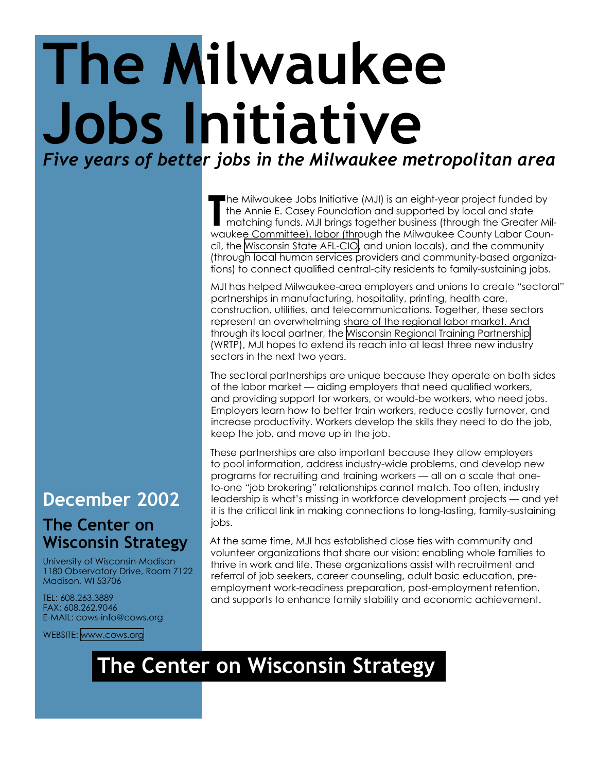## **The Milwaukee Jobs Initiative** *Five years of better jobs in the Milwaukee metropolitan area*

The Milwaukee Jobs Initiative (MJI) is an eight-year project funded by the Annie E. Casey Foundation and supported by local and state matching funds. MJI brings together business (through the Greater Milwaukee Committee), he Milwaukee Jobs Initiative (MJI) is an eight-year project funded by the Annie E. Casey Foundation and supported by local and state matching funds. MJI brings together business (through the Greater Milcil, the [Wisconsin State AFL-CIO](http://www.wisaflcio.org/), and union locals), and the community (through local human services providers and community-based organizations) to connect qualified central-city residents to family-sustaining jobs.

MJI has helped Milwaukee-area employers and unions to create "sectoral" partnerships in manufacturing, hospitality, printing, health care, construction, utilities, and telecommunications. Together, these sectors represent an overwhelming share of the regional labor market. And through its local partner, the [Wisconsin Regional Training Partnership](http://www.wrtp.org/) (WRTP), MJI hopes to extend its reach into at least three new industry sectors in the next two years.

The sectoral partnerships are unique because they operate on both sides of the labor market — aiding employers that need qualified workers, and providing support for workers, or would-be workers, who need jobs. Employers learn how to better train workers, reduce costly turnover, and increase productivity. Workers develop the skills they need to do the job, keep the job, and move up in the job.

These partnerships are also important because they allow employers to pool information, address industry-wide problems, and develop new programs for recruiting and training workers — all on a scale that oneto-one "job brokering" relationships cannot match. Too often, industry leadership is what's missing in workforce development projects — and yet it is the critical link in making connections to long-lasting, family-sustaining jobs.

At the same time, MJI has established close ties with community and volunteer organizations that share our vision: enabling whole families to thrive in work and life. These organizations assist with recruitment and referral of job seekers, career counseling, adult basic education, preemployment work-readiness preparation, post-employment retention, and supports to enhance family stability and economic achievement.

## **December 2002**

## **The Center on Wisconsin Strategy**

University of Wisconsin-Madison 1180 Observatory Drive, Room 7122 Madison, WI 53706

TEL: 608.263.3889 FAX: 608.262.9046 E-MAIL: cows-info@cows.org

WEBSITE: <www.cows.org>

## **The Center on Wisconsin Strategy**